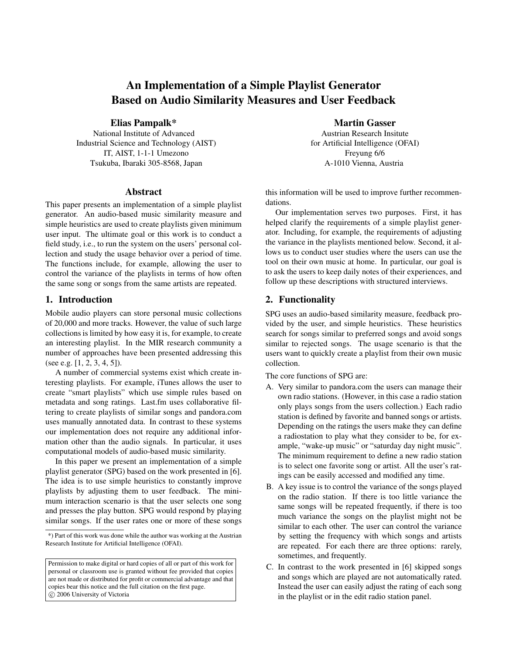# An Implementation of a Simple Playlist Generator Based on Audio Similarity Measures and User Feedback

#### Elias Pampalk\*

National Institute of Advanced Industrial Science and Technology (AIST) IT, AIST, 1-1-1 Umezono Tsukuba, Ibaraki 305-8568, Japan

#### Abstract

This paper presents an implementation of a simple playlist generator. An audio-based music similarity measure and simple heuristics are used to create playlists given minimum user input. The ultimate goal or this work is to conduct a field study, i.e., to run the system on the users' personal collection and study the usage behavior over a period of time. The functions include, for example, allowing the user to control the variance of the playlists in terms of how often the same song or songs from the same artists are repeated.

#### 1. Introduction

Mobile audio players can store personal music collections of 20,000 and more tracks. However, the value of such large collections is limited by how easy it is, for example, to create an interesting playlist. In the MIR research community a number of approaches have been presented addressing this (see e.g. [\[1,](#page-1-0) [2,](#page-1-1) [3,](#page-1-2) [4,](#page-1-3) [5\]](#page-1-4)).

A number of commercial systems exist which create interesting playlists. For example, iTunes allows the user to create "smart playlists" which use simple rules based on metadata and song ratings. Last.fm uses collaborative filtering to create playlists of similar songs and pandora.com uses manually annotated data. In contrast to these systems our implementation does not require any additional information other than the audio signals. In particular, it uses computational models of audio-based music similarity.

In this paper we present an implementation of a simple playlist generator (SPG) based on the work presented in [\[6\]](#page-1-5). The idea is to use simple heuristics to constantly improve playlists by adjusting them to user feedback. The minimum interaction scenario is that the user selects one song and presses the play button. SPG would respond by playing similar songs. If the user rates one or more of these songs

#### Martin Gasser

Austrian Research Insitute for Artificial Intelligence (OFAI) Freyung 6/6 A-1010 Vienna, Austria

this information will be used to improve further recommendations.

Our implementation serves two purposes. First, it has helped clarify the requirements of a simple playlist generator. Including, for example, the requirements of adjusting the variance in the playlists mentioned below. Second, it allows us to conduct user studies where the users can use the tool on their own music at home. In particular, our goal is to ask the users to keep daily notes of their experiences, and follow up these descriptions with structured interviews.

## 2. Functionality

SPG uses an audio-based similarity measure, feedback provided by the user, and simple heuristics. These heuristics search for songs similar to preferred songs and avoid songs similar to rejected songs. The usage scenario is that the users want to quickly create a playlist from their own music collection.

The core functions of SPG are:

- A. Very similar to pandora.com the users can manage their own radio stations. (However, in this case a radio station only plays songs from the users collection.) Each radio station is defined by favorite and banned songs or artists. Depending on the ratings the users make they can define a radiostation to play what they consider to be, for example, "wake-up music" or "saturday day night music". The minimum requirement to define a new radio station is to select one favorite song or artist. All the user's ratings can be easily accessed and modified any time.
- B. A key issue is to control the variance of the songs played on the radio station. If there is too little variance the same songs will be repeated frequently, if there is too much variance the songs on the playlist might not be similar to each other. The user can control the variance by setting the frequency with which songs and artists are repeated. For each there are three options: rarely, sometimes, and frequently.
- C. In contrast to the work presented in [\[6\]](#page-1-5) skipped songs and songs which are played are not automatically rated. Instead the user can easily adjust the rating of each song in the playlist or in the edit radio station panel.

<sup>\*)</sup> Part of this work was done while the author was working at the Austrian Research Institute for Artificial Intelligence (OFAI).

Permission to make digital or hard copies of all or part of this work for personal or classroom use is granted without fee provided that copies are not made or distributed for profit or commercial advantage and that copies bear this notice and the full citation on the first page. c 2006 University of Victoria